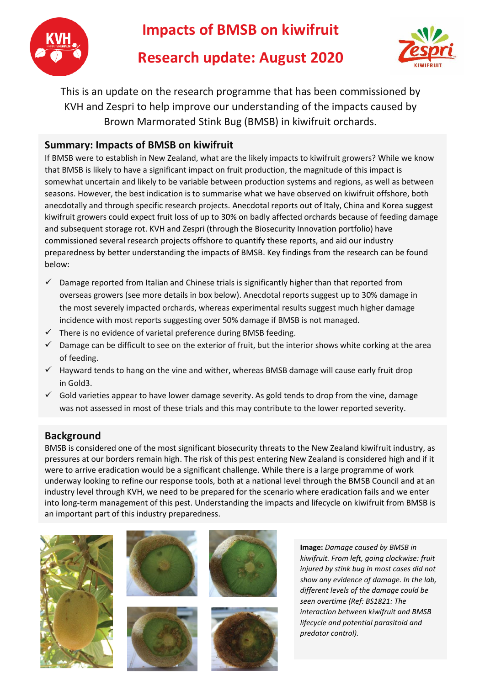

# **Impacts of BMSB on kiwifruit**

# **Research update: August 2020**



This is an update on the research programme that has been commissioned by KVH and Zespri to help improve our understanding of the impacts caused by Brown Marmorated Stink Bug (BMSB) in kiwifruit orchards.

### **Summary: Impacts of BMSB on kiwifruit**

If BMSB were to establish in New Zealand, what are the likely impacts to kiwifruit growers? While we know that BMSB is likely to have a significant impact on fruit production, the magnitude of this impact is somewhat uncertain and likely to be variable between production systems and regions, as well as between seasons. However, the best indication is to summarise what we have observed on kiwifruit offshore, both anecdotally and through specific research projects. Anecdotal reports out of Italy, China and Korea suggest kiwifruit growers could expect fruit loss of up to 30% on badly affected orchards because of feeding damage and subsequent storage rot. KVH and Zespri (through the Biosecurity Innovation portfolio) have commissioned several research projects offshore to quantify these reports, and aid our industry preparedness by better understanding the impacts of BMSB. Key findings from the research can be found below:

- $\checkmark$  Damage reported from Italian and Chinese trials is significantly higher than that reported from overseas growers (see more details in box below). Anecdotal reports suggest up to 30% damage in the most severely impacted orchards, whereas experimental results suggest much higher damage incidence with most reports suggesting over 50% damage if BMSB is not managed.
- $\checkmark$  There is no evidence of varietal preference during BMSB feeding.
- $\checkmark$  Damage can be difficult to see on the exterior of fruit, but the interior shows white corking at the area of feeding.
- ✓ Hayward tends to hang on the vine and wither, whereas BMSB damage will cause early fruit drop in Gold3.
- $\checkmark$  Gold varieties appear to have lower damage severity. As gold tends to drop from the vine, damage was not assessed in most of these trials and this may contribute to the lower reported severity.

## **Background**

BMSB is considered one of the most significant biosecurity threats to the New Zealand kiwifruit industry, as pressures at our borders remain high. The risk of this pest entering New Zealand is considered high and if it were to arrive eradication would be a significant challenge. While there is a large programme of work underway looking to refine our response tools, both at a national level through the BMSB Council and at an industry level through KVH, we need to be prepared for the scenario where eradication fails and we enter into long-term management of this pest. Understanding the impacts and lifecycle on kiwifruit from BMSB is an important part of this industry preparedness.









**Image:** *Damage caused by BMSB in kiwifruit. From left, going clockwise: fruit injured by stink bug in most cases did not show any evidence of damage. In the lab, different levels of the damage could be seen overtime (Ref: BS1821: The interaction between kiwifruit and BMSB lifecycle and potential parasitoid and predator control).*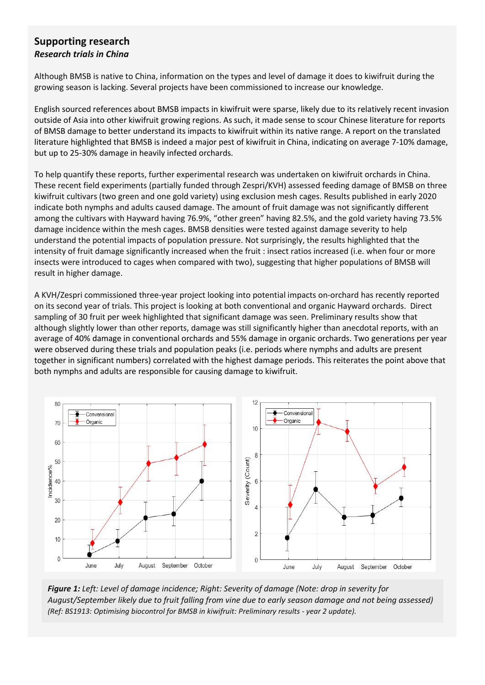### **Supporting research** *Research trials in China*

Although BMSB is native to China, information on the types and level of damage it does to kiwifruit during the growing season is lacking. Several projects have been commissioned to increase our knowledge.

English sourced references about BMSB impacts in kiwifruit were sparse, likely due to its relatively recent invasion outside of Asia into other kiwifruit growing regions. As such, it made sense to scour Chinese literature for reports of BMSB damage to better understand its impacts to kiwifruit within its native range. A report on the translated literature highlighted that BMSB is indeed a major pest of kiwifruit in China, indicating on average 7-10% damage, but up to 25-30% damage in heavily infected orchards.

To help quantify these reports, further experimental research was undertaken on kiwifruit orchards in China. These recent field experiments (partially funded through Zespri/KVH) assessed feeding damage of BMSB on three kiwifruit cultivars (two green and one gold variety) using exclusion mesh cages. Results published in early 2020 indicate both nymphs and adults caused damage. The amount of fruit damage was not significantly different among the cultivars with Hayward having 76.9%, "other green" having 82.5%, and the gold variety having 73.5% damage incidence within the mesh cages. BMSB densities were tested against damage severity to help understand the potential impacts of population pressure. Not surprisingly, the results highlighted that the intensity of fruit damage significantly increased when the fruit : insect ratios increased (i.e. when four or more insects were introduced to cages when compared with two), suggesting that higher populations of BMSB will result in higher damage.

A KVH/Zespri commissioned three-year project looking into potential impacts on-orchard has recently reported on its second year of trials. This project is looking at both conventional and organic Hayward orchards. Direct sampling of 30 fruit per week highlighted that significant damage was seen. Preliminary results show that although slightly lower than other reports, damage was still significantly higher than anecdotal reports, with an average of 40% damage in conventional orchards and 55% damage in organic orchards. Two generations per year were observed during these trials and population peaks (i.e. periods where nymphs and adults are present together in significant numbers) correlated with the highest damage periods. This reiterates the point above that both nymphs and adults are responsible for causing damage to kiwifruit.



*Figure 1: Left: Level of damage incidence; Right: Severity of damage (Note: drop in severity for August/September likely due to fruit falling from vine due to early season damage and not being assessed) (Ref: BS1913: Optimising biocontrol for BMSB in kiwifruit: Preliminary results - year 2 update).*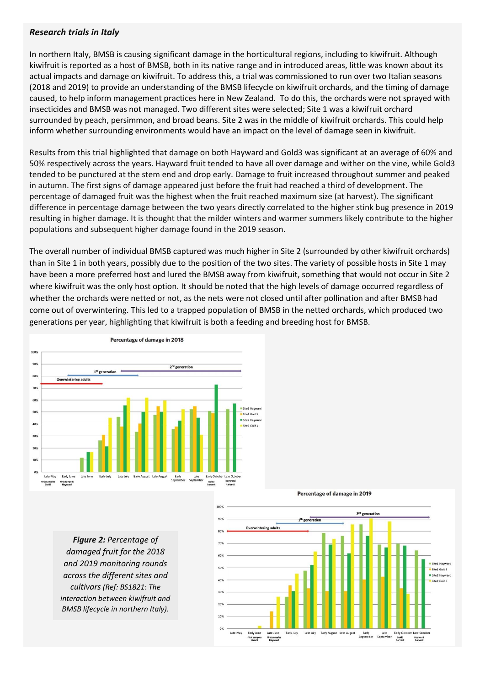### *Research trials in Italy*

In northern Italy, BMSB is causing significant damage in the horticultural regions, including to kiwifruit. Although kiwifruit is reported as a host of BMSB, both in its native range and in introduced areas, little was known about its actual impacts and damage on kiwifruit. To address this, a trial was commissioned to run over two Italian seasons (2018 and 2019) to provide an understanding of the BMSB lifecycle on kiwifruit orchards, and the timing of damage caused, to help inform management practices here in New Zealand. To do this, the orchards were not sprayed with insecticides and BMSB was not managed. Two different sites were selected; Site 1 was a kiwifruit orchard surrounded by peach, persimmon, and broad beans. Site 2 was in the middle of kiwifruit orchards. This could help inform whether surrounding environments would have an impact on the level of damage seen in kiwifruit.

Results from this trial highlighted that damage on both Hayward and Gold3 was significant at an average of 60% and 50% respectively across the years. Hayward fruit tended to have all over damage and wither on the vine, while Gold3 tended to be punctured at the stem end and drop early. Damage to fruit increased throughout summer and peaked in autumn. The first signs of damage appeared just before the fruit had reached a third of development. The percentage of damaged fruit was the highest when the fruit reached maximum size (at harvest). The significant difference in percentage damage between the two years directly correlated to the higher stink bug presence in 2019 resulting in higher damage. It is thought that the milder winters and warmer summers likely contribute to the higher populations and subsequent higher damage found in the 2019 season.

The overall number of individual BMSB captured was much higher in Site 2 (surrounded by other kiwifruit orchards) than in Site 1 in both years, possibly due to the position of the two sites. The variety of possible hosts in Site 1 may have been a more preferred host and lured the BMSB away from kiwifruit, something that would not occur in Site 2 where kiwifruit was the only host option. It should be noted that the high levels of damage occurred regardless of whether the orchards were netted or not, as the nets were not closed until after pollination and after BMSB had come out of overwintering. This led to a trapped population of BMSB in the netted orchards, which produced two generations per year, highlighting that kiwifruit is both a feeding and breeding host for BMSB.



*Figure 2: Percentage of damaged fruit for the 2018 and 2019 monitoring rounds across the different sites and cultivars (Ref: BS1821: The interaction between kiwifruit and BMSB lifecycle in northern Italy).*



#### Percentage of damage in 2019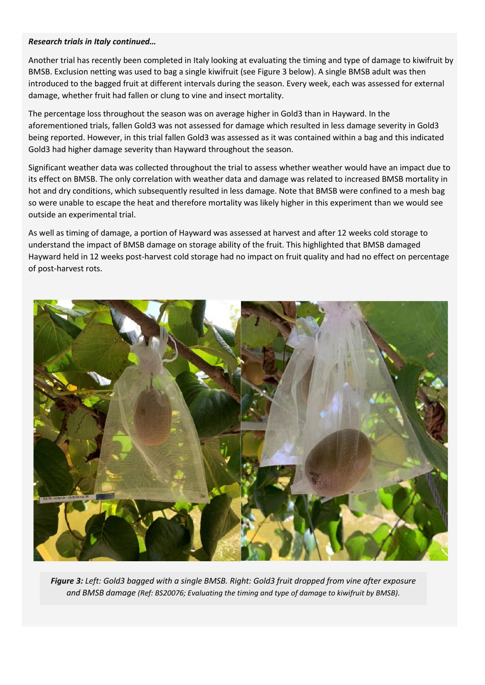### *Research trials in Italy continued…*

Another trial has recently been completed in Italy looking at evaluating the timing and type of damage to kiwifruit by BMSB. Exclusion netting was used to bag a single kiwifruit (see Figure 3 below). A single BMSB adult was then introduced to the bagged fruit at different intervals during the season. Every week, each was assessed for external damage, whether fruit had fallen or clung to vine and insect mortality.

The percentage loss throughout the season was on average higher in Gold3 than in Hayward. In the aforementioned trials, fallen Gold3 was not assessed for damage which resulted in less damage severity in Gold3 being reported. However, in this trial fallen Gold3 was assessed as it was contained within a bag and this indicated Gold3 had higher damage severity than Hayward throughout the season.

Significant weather data was collected throughout the trial to assess whether weather would have an impact due to its effect on BMSB. The only correlation with weather data and damage was related to increased BMSB mortality in hot and dry conditions, which subsequently resulted in less damage. Note that BMSB were confined to a mesh bag so were unable to escape the heat and therefore mortality was likely higher in this experiment than we would see outside an experimental trial.

As well as timing of damage, a portion of Hayward was assessed at harvest and after 12 weeks cold storage to understand the impact of BMSB damage on storage ability of the fruit. This highlighted that BMSB damaged Hayward held in 12 weeks post-harvest cold storage had no impact on fruit quality and had no effect on percentage of post-harvest rots.



*Figure 3: Left: Gold3 bagged with a single BMSB. Right: Gold3 fruit dropped from vine after exposure and BMSB damage (Ref: BS20076; Evaluating the timing and type of damage to kiwifruit by BMSB).*